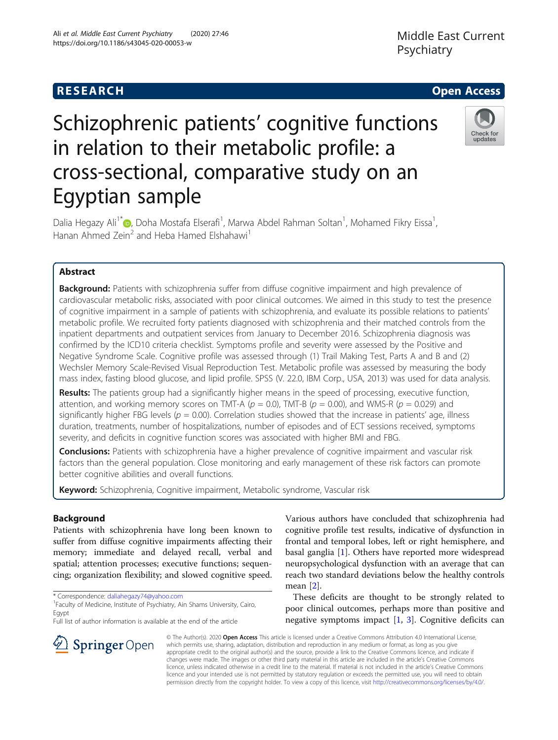# **RESEARCH CHE Open Access**

# Schizophrenic patients' cognitive functions in relation to their metabolic profile: a cross-sectional, comparative study on an Egyptian sample



Dalia Hegazy Ali<sup>1[\\*](http://orcid.org/0000-0002-3687-1962)</sup>�, Doha Mostafa Elserafi<sup>1</sup>, Marwa Abdel Rahman Soltan<sup>1</sup>, Mohamed Fikry Eissa<sup>1</sup> , Hanan Ahmed Zein<sup>2</sup> and Heba Hamed Elshahawi<sup>1</sup>

# Abstract

**Background:** Patients with schizophrenia suffer from diffuse cognitive impairment and high prevalence of cardiovascular metabolic risks, associated with poor clinical outcomes. We aimed in this study to test the presence of cognitive impairment in a sample of patients with schizophrenia, and evaluate its possible relations to patients' metabolic profile. We recruited forty patients diagnosed with schizophrenia and their matched controls from the inpatient departments and outpatient services from January to December 2016. Schizophrenia diagnosis was confirmed by the ICD10 criteria checklist. Symptoms profile and severity were assessed by the Positive and Negative Syndrome Scale. Cognitive profile was assessed through (1) Trail Making Test, Parts A and B and (2) Wechsler Memory Scale-Revised Visual Reproduction Test. Metabolic profile was assessed by measuring the body mass index, fasting blood glucose, and lipid profile. SPSS (V. 22.0, IBM Corp., USA, 2013) was used for data analysis.

Results: The patients group had a significantly higher means in the speed of processing, executive function, attention, and working memory scores on TMT-A ( $p = 0.0$ ), TMT-B ( $p = 0.00$ ), and WMS-R ( $p = 0.029$ ) and significantly higher FBG levels ( $p = 0.00$ ). Correlation studies showed that the increase in patients' age, illness duration, treatments, number of hospitalizations, number of episodes and of ECT sessions received, symptoms severity, and deficits in cognitive function scores was associated with higher BMI and FBG.

**Conclusions:** Patients with schizophrenia have a higher prevalence of cognitive impairment and vascular risk factors than the general population. Close monitoring and early management of these risk factors can promote better cognitive abilities and overall functions.

Keyword: Schizophrenia, Cognitive impairment, Metabolic syndrome, Vascular risk

## Background

Patients with schizophrenia have long been known to suffer from diffuse cognitive impairments affecting their memory; immediate and delayed recall, verbal and spatial; attention processes; executive functions; sequencing; organization flexibility; and slowed cognitive speed.

\* Correspondence: [daliahegazy74@yahoo.com](mailto:daliahegazy74@yahoo.com) <sup>1</sup>

 $\mathcal{L}$  Springer Open

<sup>1</sup> Faculty of Medicine, Institute of Psychiatry, Ain Shams University, Cairo, Egypt

Full list of author information is available at the end of the article

Various authors have concluded that schizophrenia had cognitive profile test results, indicative of dysfunction in frontal and temporal lobes, left or right hemisphere, and basal ganglia  $[1]$  $[1]$ . Others have reported more widespread neuropsychological dysfunction with an average that can reach two standard deviations below the healthy controls mean [\[2](#page-5-0)].

These deficits are thought to be strongly related to poor clinical outcomes, perhaps more than positive and negative symptoms impact [\[1](#page-5-0), [3](#page-5-0)]. Cognitive deficits can

© The Author(s). 2020 Open Access This article is licensed under a Creative Commons Attribution 4.0 International License, which permits use, sharing, adaptation, distribution and reproduction in any medium or format, as long as you give appropriate credit to the original author(s) and the source, provide a link to the Creative Commons licence, and indicate if changes were made. The images or other third party material in this article are included in the article's Creative Commons licence, unless indicated otherwise in a credit line to the material. If material is not included in the article's Creative Commons licence and your intended use is not permitted by statutory regulation or exceeds the permitted use, you will need to obtain permission directly from the copyright holder. To view a copy of this licence, visit <http://creativecommons.org/licenses/by/4.0/>.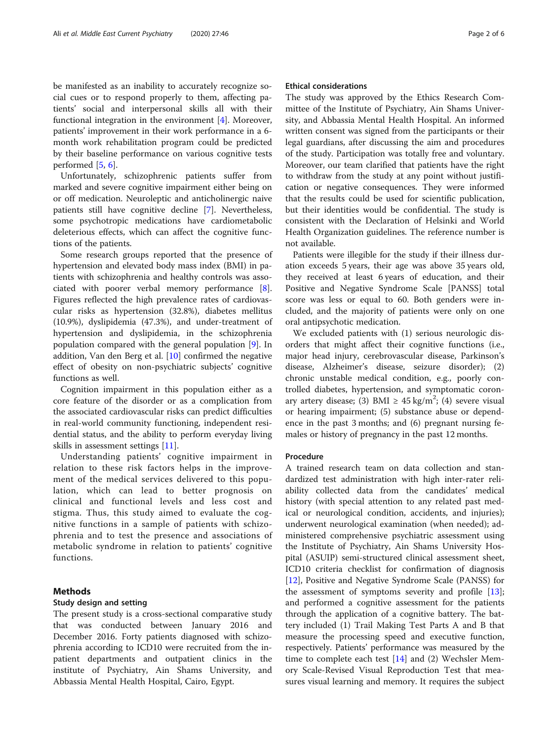be manifested as an inability to accurately recognize social cues or to respond properly to them, affecting patients' social and interpersonal skills all with their functional integration in the environment  $[4]$  $[4]$ . Moreover, patients' improvement in their work performance in a 6 month work rehabilitation program could be predicted by their baseline performance on various cognitive tests performed [[5](#page-5-0), [6](#page-5-0)].

Unfortunately, schizophrenic patients suffer from marked and severe cognitive impairment either being on or off medication. Neuroleptic and anticholinergic naive patients still have cognitive decline [\[7](#page-5-0)]. Nevertheless, some psychotropic medications have cardiometabolic deleterious effects, which can affect the cognitive functions of the patients.

Some research groups reported that the presence of hypertension and elevated body mass index (BMI) in patients with schizophrenia and healthy controls was associated with poorer verbal memory performance [\[8](#page-5-0)]. Figures reflected the high prevalence rates of cardiovascular risks as hypertension (32.8%), diabetes mellitus (10.9%), dyslipidemia (47.3%), and under-treatment of hypertension and dyslipidemia, in the schizophrenia population compared with the general population [\[9](#page-5-0)]. In addition, Van den Berg et al. [\[10](#page-5-0)] confirmed the negative effect of obesity on non-psychiatric subjects' cognitive functions as well.

Cognition impairment in this population either as a core feature of the disorder or as a complication from the associated cardiovascular risks can predict difficulties in real-world community functioning, independent residential status, and the ability to perform everyday living skills in assessment settings [[11\]](#page-5-0).

Understanding patients' cognitive impairment in relation to these risk factors helps in the improvement of the medical services delivered to this population, which can lead to better prognosis on clinical and functional levels and less cost and stigma. Thus, this study aimed to evaluate the cognitive functions in a sample of patients with schizophrenia and to test the presence and associations of metabolic syndrome in relation to patients' cognitive functions.

#### Methods

#### Study design and setting

The present study is a cross-sectional comparative study that was conducted between January 2016 and December 2016. Forty patients diagnosed with schizophrenia according to ICD10 were recruited from the inpatient departments and outpatient clinics in the institute of Psychiatry, Ain Shams University, and Abbassia Mental Health Hospital, Cairo, Egypt.

#### Ethical considerations

The study was approved by the Ethics Research Committee of the Institute of Psychiatry, Ain Shams University, and Abbassia Mental Health Hospital. An informed written consent was signed from the participants or their legal guardians, after discussing the aim and procedures of the study. Participation was totally free and voluntary. Moreover, our team clarified that patients have the right to withdraw from the study at any point without justification or negative consequences. They were informed that the results could be used for scientific publication, but their identities would be confidential. The study is consistent with the Declaration of Helsinki and World Health Organization guidelines. The reference number is not available.

Patients were illegible for the study if their illness duration exceeds 5 years, their age was above 35 years old, they received at least 6 years of education, and their Positive and Negative Syndrome Scale [PANSS] total score was less or equal to 60. Both genders were included, and the majority of patients were only on one oral antipsychotic medication.

We excluded patients with (1) serious neurologic disorders that might affect their cognitive functions (i.e., major head injury, cerebrovascular disease, Parkinson's disease, Alzheimer's disease, seizure disorder); (2) chronic unstable medical condition, e.g., poorly controlled diabetes, hypertension, and symptomatic coronary artery disease; (3) BMI  $\geq$  45 kg/m<sup>2</sup>; (4) severe visual or hearing impairment; (5) substance abuse or dependence in the past 3 months; and (6) pregnant nursing females or history of pregnancy in the past 12 months.

#### Procedure

A trained research team on data collection and standardized test administration with high inter-rater reliability collected data from the candidates' medical history (with special attention to any related past medical or neurological condition, accidents, and injuries); underwent neurological examination (when needed); administered comprehensive psychiatric assessment using the Institute of Psychiatry, Ain Shams University Hospital (ASUIP) semi-structured clinical assessment sheet, ICD10 criteria checklist for confirmation of diagnosis [[12\]](#page-5-0), Positive and Negative Syndrome Scale (PANSS) for the assessment of symptoms severity and profile [\[13](#page-5-0)]; and performed a cognitive assessment for the patients through the application of a cognitive battery. The battery included (1) Trail Making Test Parts A and B that measure the processing speed and executive function, respectively. Patients' performance was measured by the time to complete each test  $[14]$  $[14]$  and  $(2)$  Wechsler Memory Scale-Revised Visual Reproduction Test that measures visual learning and memory. It requires the subject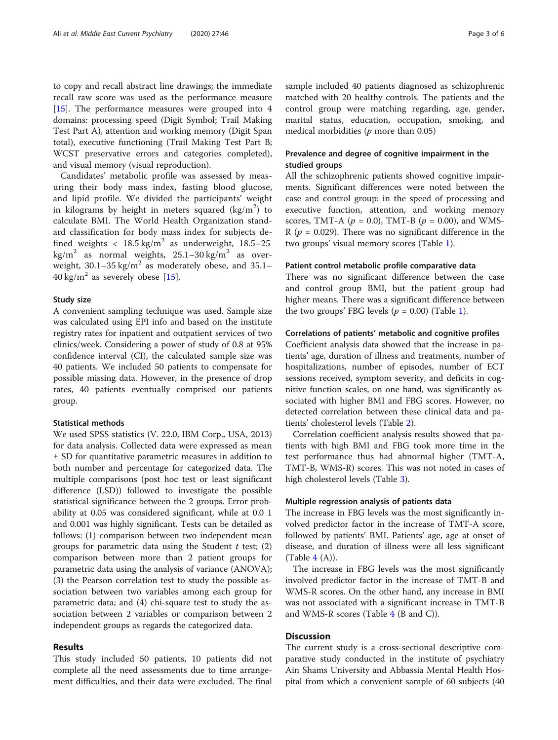to copy and recall abstract line drawings; the immediate recall raw score was used as the performance measure [[15\]](#page-5-0). The performance measures were grouped into 4 domains: processing speed (Digit Symbol; Trail Making Test Part A), attention and working memory (Digit Span total), executive functioning (Trail Making Test Part B; WCST preservative errors and categories completed), and visual memory (visual reproduction).

Candidates' metabolic profile was assessed by measuring their body mass index, fasting blood glucose, and lipid profile. We divided the participants' weight in kilograms by height in meters squared  $(\text{kg/m}^2)$  to calculate BMI. The World Health Organization standard classification for body mass index for subjects defined weights  $\langle 18.5 \text{ kg/m}^2 \text{ as underweight}, 18.5-25 \rangle$ kg/m<sup>2</sup> as normal weights,  $25.1-30$  kg/m<sup>2</sup> as overweight,  $30.1-35$  kg/m<sup>2</sup> as moderately obese, and  $35.1 40 \text{ kg/m}^2$  as severely obese [[15\]](#page-5-0).

#### Study size

A convenient sampling technique was used. Sample size was calculated using EPI info and based on the institute registry rates for inpatient and outpatient services of two clinics/week. Considering a power of study of 0.8 at 95% confidence interval (CI), the calculated sample size was 40 patients. We included 50 patients to compensate for possible missing data. However, in the presence of drop rates, 40 patients eventually comprised our patients group.

### Statistical methods

We used SPSS statistics (V. 22.0, IBM Corp., USA, 2013) for data analysis. Collected data were expressed as mean ± SD for quantitative parametric measures in addition to both number and percentage for categorized data. The multiple comparisons (post hoc test or least significant difference (LSD)) followed to investigate the possible statistical significance between the 2 groups. Error probability at 0.05 was considered significant, while at 0.0 1 and 0.001 was highly significant. Tests can be detailed as follows: (1) comparison between two independent mean groups for parametric data using the Student  $t$  test; (2) comparison between more than 2 patient groups for parametric data using the analysis of variance (ANOVA); (3) the Pearson correlation test to study the possible association between two variables among each group for parametric data; and (4) chi-square test to study the association between 2 variables or comparison between 2 independent groups as regards the categorized data.

#### Results

This study included 50 patients, 10 patients did not complete all the need assessments due to time arrangement difficulties, and their data were excluded. The final sample included 40 patients diagnosed as schizophrenic matched with 20 healthy controls. The patients and the control group were matching regarding, age, gender, marital status, education, occupation, smoking, and medical morbidities ( $p$  more than 0.05)

#### Prevalence and degree of cognitive impairment in the studied groups

All the schizophrenic patients showed cognitive impairments. Significant differences were noted between the case and control group: in the speed of processing and executive function, attention, and working memory scores, TMT-A ( $p = 0.0$ ), TMT-B ( $p = 0.00$ ), and WMS-R ( $p = 0.029$ ). There was no significant difference in the two groups' visual memory scores (Table [1\)](#page-3-0).

#### Patient control metabolic profile comparative data

There was no significant difference between the case and control group BMI, but the patient group had higher means. There was a significant difference between the two groups' FBG levels ( $p = 0.00$ ) (Table [1](#page-3-0)).

#### Correlations of patients' metabolic and cognitive profiles

Coefficient analysis data showed that the increase in patients' age, duration of illness and treatments, number of hospitalizations, number of episodes, number of ECT sessions received, symptom severity, and deficits in cognitive function scales, on one hand, was significantly associated with higher BMI and FBG scores. However, no detected correlation between these clinical data and patients' cholesterol levels (Table [2\)](#page-3-0).

Correlation coefficient analysis results showed that patients with high BMI and FBG took more time in the test performance thus had abnormal higher (TMT-A, TMT-B, WMS-R) scores. This was not noted in cases of high cholesterol levels (Table [3](#page-3-0)).

#### Multiple regression analysis of patients data

The increase in FBG levels was the most significantly involved predictor factor in the increase of TMT-A score, followed by patients' BMI. Patients' age, age at onset of disease, and duration of illness were all less significant (Table  $4(A)$  $4(A)$ ).

The increase in FBG levels was the most significantly involved predictor factor in the increase of TMT-B and WMS-R scores. On the other hand, any increase in BMI was not associated with a significant increase in TMT-B and WMS-R scores (Table  $4$  (B and C)).

#### **Discussion**

The current study is a cross-sectional descriptive comparative study conducted in the institute of psychiatry Ain Shams University and Abbassia Mental Health Hospital from which a convenient sample of 60 subjects (40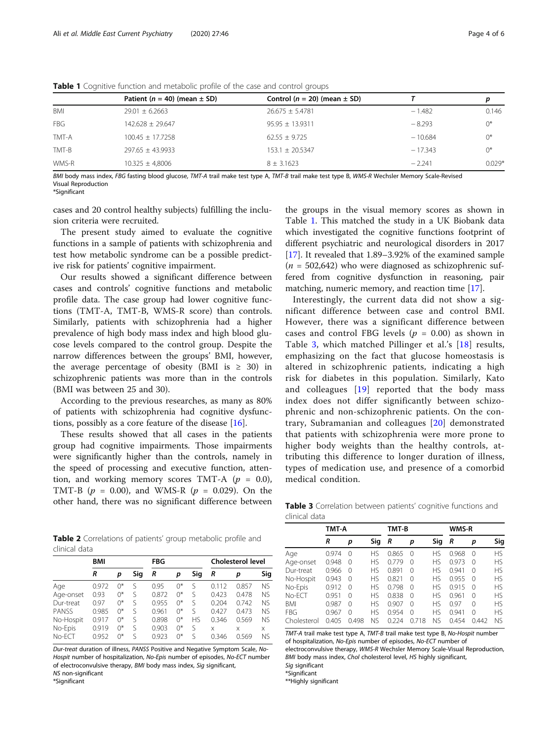|            | Patient ( $n = 40$ ) (mean $\pm$ SD) | Control ( $n = 20$ ) (mean $\pm$ SD) |           | D        |
|------------|--------------------------------------|--------------------------------------|-----------|----------|
| <b>BMI</b> | $29.01 \pm 6.2663$                   | $26.675 \pm 5.4781$                  | $-1.482$  | 0.146    |
| <b>FBG</b> | $142.628 \pm 29.647$                 | $95.95 \pm 13.9311$                  | $-8.293$  | $0^*$    |
| TMT-A      | $100.45 \pm 17.7258$                 | $62.55 + 9.725$                      | $-10.684$ | $0^*$    |
| TMT-B      | $297.65 \pm 43.9933$                 | $153.1 \pm 20.5347$                  | $-17.343$ | $0^*$    |
| WMS-R      | $10.325 \pm 4.8006$                  | $8 \pm 3.1623$                       | $-2.241$  | $0.029*$ |
|            |                                      |                                      |           |          |

<span id="page-3-0"></span>Table 1 Cognitive function and metabolic profile of the case and control groups

BMI body mass index, FBG fasting blood glucose, TMT-A trail make test type A, TMT-B trail make test type B, WMS-R Wechsler Memory Scale-Revised Visual Reproduction

\*Significant

cases and 20 control healthy subjects) fulfilling the inclusion criteria were recruited.

The present study aimed to evaluate the cognitive functions in a sample of patients with schizophrenia and test how metabolic syndrome can be a possible predictive risk for patients' cognitive impairment.

Our results showed a significant difference between cases and controls' cognitive functions and metabolic profile data. The case group had lower cognitive functions (TMT-A, TMT-B, WMS-R score) than controls. Similarly, patients with schizophrenia had a higher prevalence of high body mass index and high blood glucose levels compared to the control group. Despite the narrow differences between the groups' BMI, however, the average percentage of obesity (BMI is  $\geq$  30) in schizophrenic patients was more than in the controls (BMI was between 25 and 30).

According to the previous researches, as many as 80% of patients with schizophrenia had cognitive dysfunctions, possibly as a core feature of the disease [[16\]](#page-5-0).

These results showed that all cases in the patients group had cognitive impairments. Those impairments were significantly higher than the controls, namely in the speed of processing and executive function, attention, and working memory scores TMT-A  $(p = 0.0)$ , TMT-B ( $p = 0.00$ ), and WMS-R ( $p = 0.029$ ). On the other hand, there was no significant difference between

Table 2 Correlations of patients' group metabolic profile and clinical data

|           | BMI   |        |     | FBG   |       |           | <b>Cholesterol level</b> |       |           |
|-----------|-------|--------|-----|-------|-------|-----------|--------------------------|-------|-----------|
|           | R     | p      | Sig | R     | p     | Sig       | R                        | р     | Sig       |
| Age       | 0.972 | $0^*$  | S   | 0.95  | 0*    | S         | 0.112                    | 0.857 | <b>NS</b> |
| Age-onset | 0.93  | $0^*$  | ς   | 0.872 | $0^*$ | S         | 0.423                    | 0.478 | <b>NS</b> |
| Dur-treat | 0.97  | $0^*$  | ς   | 0.955 | $0^*$ | S         | 0.204                    | 0.742 | <b>NS</b> |
| PANSS     | 0.985 | $0^*$  | S   | 0.961 | $0^*$ | S         | 0.427                    | 0.473 | <b>NS</b> |
| No-Hospit | 0917  | $()^*$ | ς   | 0.898 | $0^*$ | <b>HS</b> | 0.346                    | 0.569 | <b>NS</b> |
| No-Epis   | 0.919 | $()^*$ | S   | 0.903 | $0^*$ | S         | X                        | X     | X         |
| No-ECT    | 0952  | ∩*     | ς   | 0923  | $0^*$ | ς         | 0.346                    | 0.569 | <b>NS</b> |

Dur-treat duration of illness, PANSS Positive and Negative Symptom Scale, No-Hospit number of hospitalization, No-Epis number of episodes, No-ECT number of electroconvulsive therapy, BMI body mass index, Sig significant,

NS non-significant

\*Significant

the groups in the visual memory scores as shown in Table 1. This matched the study in a UK Biobank data which investigated the cognitive functions footprint of different psychiatric and neurological disorders in 2017 [[17\]](#page-5-0). It revealed that 1.89–3.92% of the examined sample  $(n = 502,642)$  who were diagnosed as schizophrenic suffered from cognitive dysfunction in reasoning, pair matching, numeric memory, and reaction time [\[17](#page-5-0)].

Interestingly, the current data did not show a significant difference between case and control BMI. However, there was a significant difference between cases and control FBG levels ( $p = 0.00$ ) as shown in Table 3, which matched Pillinger et al.'s [[18\]](#page-5-0) results, emphasizing on the fact that glucose homeostasis is altered in schizophrenic patients, indicating a high risk for diabetes in this population. Similarly, Kato and colleagues  $[19]$  reported that the body mass index does not differ significantly between schizophrenic and non-schizophrenic patients. On the contrary, Subramanian and colleagues [[20\]](#page-5-0) demonstrated that patients with schizophrenia were more prone to higher body weights than the healthy controls, attributing this difference to longer duration of illness, types of medication use, and presence of a comorbid medical condition.

Table 3 Correlation between patients' cognitive functions and clinical data

|             | TMT-A |          |           | TMT-B |          |           | WMS-R |          |           |
|-------------|-------|----------|-----------|-------|----------|-----------|-------|----------|-----------|
|             | R     | р        | Sig       | R     | р        | Sig       | R     | р        | Sig       |
| Age         | 0.974 | $\Omega$ | ΗS        | 0.865 | 0        | НS        | 0.968 | $\Omega$ | HS        |
| Age-onset   | 0.948 | $\Omega$ | ΗS        | 0.779 | $\cap$   | <b>HS</b> | 0.973 | $\Omega$ | НS        |
| Dur-treat   | 0.966 | $\Omega$ | <b>HS</b> | 0.891 | $\Omega$ | <b>HS</b> | 0.941 | $\Omega$ | НS        |
| No-Hospit   | 0.943 | $\Omega$ | <b>HS</b> | 0.821 | $\cap$   | <b>HS</b> | 0.955 | $\Omega$ | <b>HS</b> |
| No-Epis     | 0.912 | $\Omega$ | <b>HS</b> | 0.798 | $\cap$   | <b>HS</b> | 0915  | $\Omega$ | <b>HS</b> |
| No-ECT      | 0.951 | $\Omega$ | <b>HS</b> | 0.838 | $\cap$   | <b>HS</b> | 0.961 | $\Omega$ | <b>HS</b> |
| BMI         | 0.987 | $\Omega$ | <b>HS</b> | 0.907 | $\cap$   | <b>HS</b> | 0.97  | $\Omega$ | <b>HS</b> |
| <b>FBG</b>  | 0.967 | $\Omega$ | ΗS        | 0.954 | $\Omega$ | <b>HS</b> | 0.941 | $\Omega$ | <b>HS</b> |
| Cholesterol | 0.405 | 0.498    | NS        | 0.224 | 0.718    | ΝS        | 0.454 | 0.442    | <b>NS</b> |

TMT-A trail make test type A, TMT-B trail make test type B, No-Hospit number of hospitalization, No-Epis number of episodes, No-ECT number of electroconvulsive therapy, WMS-R Wechsler Memory Scale-Visual Reproduction, BMI body mass index, Chol cholesterol level, HS highly significant, Sig significant

\*Significant

\*\*Highly significant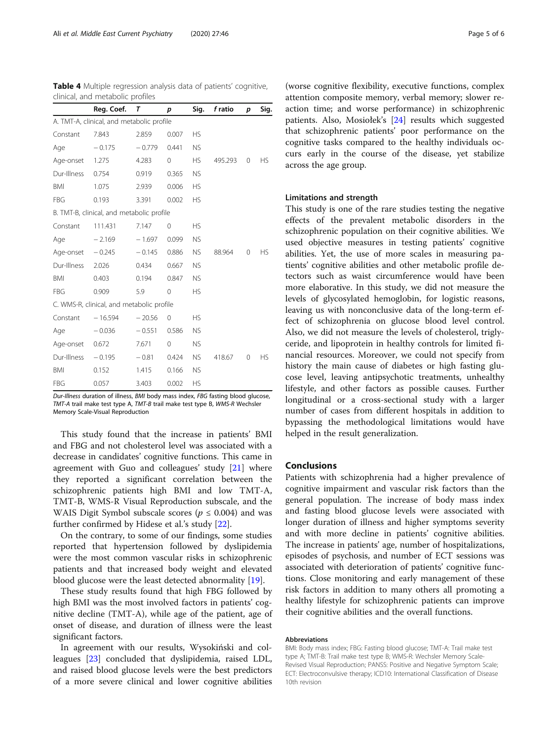| clinical, and metabolic profiles          |                                           |          |          |           |         |   |           |  |  |
|-------------------------------------------|-------------------------------------------|----------|----------|-----------|---------|---|-----------|--|--|
|                                           | Reg. Coef.                                | т        | p        | Sig.      | f ratio | p | Sig.      |  |  |
| A. TMT-A, clinical, and metabolic profile |                                           |          |          |           |         |   |           |  |  |
| Constant                                  | 7.843                                     | 2.859    | 0.007    | <b>HS</b> |         |   |           |  |  |
| Age                                       | $-0.175$                                  | $-0.779$ | 0.441    | <b>NS</b> |         |   |           |  |  |
| Age-onset                                 | 1.275                                     | 4.283    | $\Omega$ | <b>HS</b> | 495.293 | 0 | НS        |  |  |
| Dur-Illness                               | 0.754                                     | 0.919    | 0.365    | <b>NS</b> |         |   |           |  |  |
| <b>BMI</b>                                | 1.075                                     | 2.939    | 0.006    | <b>HS</b> |         |   |           |  |  |
| FBG                                       | 0.193                                     | 3.391    | 0.002    | <b>HS</b> |         |   |           |  |  |
|                                           | B. TMT-B, clinical, and metabolic profile |          |          |           |         |   |           |  |  |
| Constant                                  | 111.431                                   | 7.147    | $\Omega$ | НS        |         |   |           |  |  |
| Age                                       | $-2.169$                                  | $-1.697$ | 0.099    | <b>NS</b> |         |   |           |  |  |
| Age-onset                                 | $-0.245$                                  | $-0.145$ | 0.886    | <b>NS</b> | 88.964  | 0 | HS.       |  |  |
| Dur-Illness                               | 2.026                                     | 0.434    | 0.667    | <b>NS</b> |         |   |           |  |  |
| <b>BMI</b>                                | 0.403                                     | 0.194    | 0.847    | <b>NS</b> |         |   |           |  |  |
| FBG                                       | 0.909                                     | 5.9      | 0        | <b>HS</b> |         |   |           |  |  |
| C. WMS-R, clinical, and metabolic profile |                                           |          |          |           |         |   |           |  |  |
| Constant                                  | $-16.594$                                 | $-20.56$ | 0        | <b>HS</b> |         |   |           |  |  |
| Age                                       | $-0.036$                                  | $-0.551$ | 0.586    | <b>NS</b> |         |   |           |  |  |
| Age-onset                                 | 0.672                                     | 7.671    | $\Omega$ | <b>NS</b> |         |   |           |  |  |
| Dur-Illness                               | $-0.195$                                  | $-0.81$  | 0.424    | <b>NS</b> | 418.67  | 0 | <b>HS</b> |  |  |
| <b>BMI</b>                                | 0.152                                     | 1.415    | 0.166    | <b>NS</b> |         |   |           |  |  |
| FBG                                       | 0.057                                     | 3.403    | 0.002    | <b>HS</b> |         |   |           |  |  |

<span id="page-4-0"></span>Table 4 Multiple regression analysis data of patients' cognitive,

Dur-Illness duration of illness, BMI body mass index, FBG fasting blood glucose, TMT-A trail make test type A, TMT-B trail make test type B, WMS-R Wechsler Memory Scale-Visual Reproduction

This study found that the increase in patients' BMI and FBG and not cholesterol level was associated with a decrease in candidates' cognitive functions. This came in agreement with Guo and colleagues' study [\[21\]](#page-5-0) where they reported a significant correlation between the schizophrenic patients high BMI and low TMT-A, TMT-B, WMS-R Visual Reproduction subscale, and the WAIS Digit Symbol subscale scores ( $p \leq 0.004$ ) and was further confirmed by Hidese et al.'s study [\[22](#page-5-0)].

On the contrary, to some of our findings, some studies reported that hypertension followed by dyslipidemia were the most common vascular risks in schizophrenic patients and that increased body weight and elevated blood glucose were the least detected abnormality [[19\]](#page-5-0).

These study results found that high FBG followed by high BMI was the most involved factors in patients' cognitive decline (TMT-A), while age of the patient, age of onset of disease, and duration of illness were the least significant factors.

In agreement with our results, Wysokiński and colleagues [[23\]](#page-5-0) concluded that dyslipidemia, raised LDL, and raised blood glucose levels were the best predictors of a more severe clinical and lower cognitive abilities

(worse cognitive flexibility, executive functions, complex attention composite memory, verbal memory; slower reaction time; and worse performance) in schizophrenic patients. Also, Mosiołek's [[24](#page-5-0)] results which suggested that schizophrenic patients' poor performance on the cognitive tasks compared to the healthy individuals occurs early in the course of the disease, yet stabilize across the age group.

#### Limitations and strength

This study is one of the rare studies testing the negative effects of the prevalent metabolic disorders in the schizophrenic population on their cognitive abilities. We used objective measures in testing patients' cognitive abilities. Yet, the use of more scales in measuring patients' cognitive abilities and other metabolic profile detectors such as waist circumference would have been more elaborative. In this study, we did not measure the levels of glycosylated hemoglobin, for logistic reasons, leaving us with nonconclusive data of the long-term effect of schizophrenia on glucose blood level control. Also, we did not measure the levels of cholesterol, triglyceride, and lipoprotein in healthy controls for limited financial resources. Moreover, we could not specify from history the main cause of diabetes or high fasting glucose level, leaving antipsychotic treatments, unhealthy lifestyle, and other factors as possible causes. Further longitudinal or a cross-sectional study with a larger number of cases from different hospitals in addition to bypassing the methodological limitations would have helped in the result generalization.

#### Conclusions

Patients with schizophrenia had a higher prevalence of cognitive impairment and vascular risk factors than the general population. The increase of body mass index and fasting blood glucose levels were associated with longer duration of illness and higher symptoms severity and with more decline in patients' cognitive abilities. The increase in patients' age, number of hospitalizations, episodes of psychosis, and number of ECT sessions was associated with deterioration of patients' cognitive functions. Close monitoring and early management of these risk factors in addition to many others all promoting a healthy lifestyle for schizophrenic patients can improve their cognitive abilities and the overall functions.

#### Abbreviations

BMI: Body mass index; FBG: Fasting blood glucose; TMT-A: Trail make test type A; TMT-B: Trail make test type B; WMS-R: Wechsler Memory Scale-Revised Visual Reproduction; PANSS: Positive and Negative Symptom Scale; ECT: Electroconvulsive therapy; ICD10: International Classification of Disease 10th revision